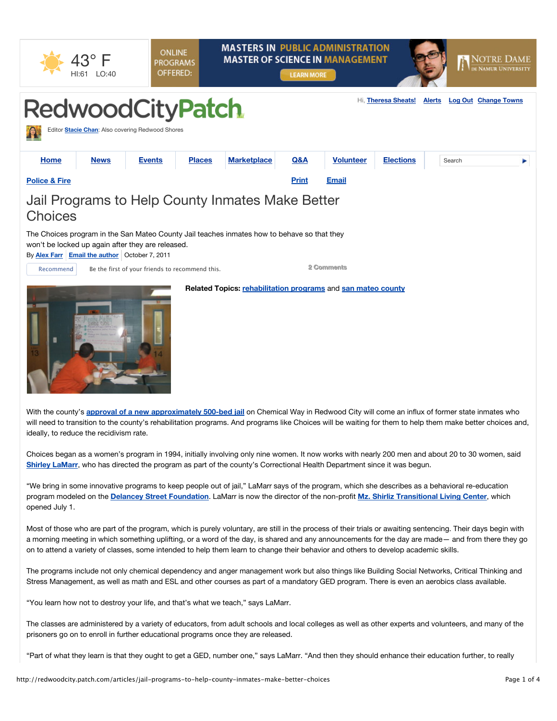|                                                                                                                                                                                                          | HI:61 LO:40 | <b>ONLINE</b><br><b>PROGRAMS</b><br>OFFERED:     |               |                    | <b>LEARN MORE</b> | <b>MASTERS IN PUBLIC ADMINISTRATION</b><br><b>MASTER OF SCIENCE IN MANAGEMENT</b> |                     |               | <b>NOTRE DAME</b><br>DE NAMUR UNIVERSITY |  |  |
|----------------------------------------------------------------------------------------------------------------------------------------------------------------------------------------------------------|-------------|--------------------------------------------------|---------------|--------------------|-------------------|-----------------------------------------------------------------------------------|---------------------|---------------|------------------------------------------|--|--|
| <b>RedwoodCityPatch</b>                                                                                                                                                                                  |             | Editor Stacie Chan: Also covering Redwood Shores |               |                    |                   |                                                                                   | Hi, Theresa Sheats! | <b>Alerts</b> | <b>Log Out Change Towns</b>              |  |  |
| <b>Home</b>                                                                                                                                                                                              | <b>News</b> | <b>Events</b>                                    | <b>Places</b> | <b>Marketplace</b> | Q&A               | <b>Volunteer</b>                                                                  | <b>Elections</b>    | Search        |                                          |  |  |
| <b>Police &amp; Fire</b>                                                                                                                                                                                 |             |                                                  |               |                    | <b>Print</b>      | <b>Email</b>                                                                      |                     |               |                                          |  |  |
| Jail Programs to Help County Inmates Make Better<br><b>Choices</b>                                                                                                                                       |             |                                                  |               |                    |                   |                                                                                   |                     |               |                                          |  |  |
| The Choices program in the San Mateo County Jail teaches inmates how to behave so that they<br>won't be locked up again after they are released.<br>By <b>Alex Farr</b> Email the author October 7, 2011 |             |                                                  |               |                    |                   |                                                                                   |                     |               |                                          |  |  |
| Recommend                                                                                                                                                                                                |             | Be the first of your friends to recommend this.  |               |                    |                   | 2 Comments                                                                        |                     |               |                                          |  |  |
|                                                                                                                                                                                                          |             |                                                  |               |                    |                   | Related Topics: rehabilitation programs and san mateo county                      |                     |               |                                          |  |  |

With the county's **approval of a new approximately 500-bed jail** on Chemical Way in Redwood City will come an influx of former state inmates who will need to transition to the county's rehabilitation programs. And programs like Choices will be waiting for them to help them make better choices and, ideally, to reduce the recidivism rate.

Choices began as a women's program in 1994, initially involving only nine women. It now works with nearly 200 men and about 20 to 30 women, said **Shirley LaMarr**, who has directed the program as part of the county's Correctional Health Department since it was begun.

"We bring in some innovative programs to keep people out of jail," LaMarr says of the program, which she describes as a behavioral re-education program modeled on the **Delancey Street Foundation**. LaMarr is now the director of the non-profit **Mz. Shirliz Transitional Living Center**, which opened July 1.

Most of those who are part of the program, which is purely voluntary, are still in the process of their trials or awaiting sentencing. Their days begin with a morning meeting in which something uplifting, or a word of the day, is shared and any announcements for the day are made— and from there they go on to attend a variety of classes, some intended to help them learn to change their behavior and others to develop academic skills.

The programs include not only chemical dependency and anger management work but also things like Building Social Networks, Critical Thinking and Stress Management, as well as math and ESL and other courses as part of a mandatory GED program. There is even an aerobics class available.

"You learn how not to destroy your life, and that's what we teach," says LaMarr.

The classes are administered by a variety of educators, from adult schools and local colleges as well as other experts and volunteers, and many of the prisoners go on to enroll in further educational programs once they are released.

"Part of what they learn is that they ought to get a GED, number one," says LaMarr. "And then they should enhance their education further, to really